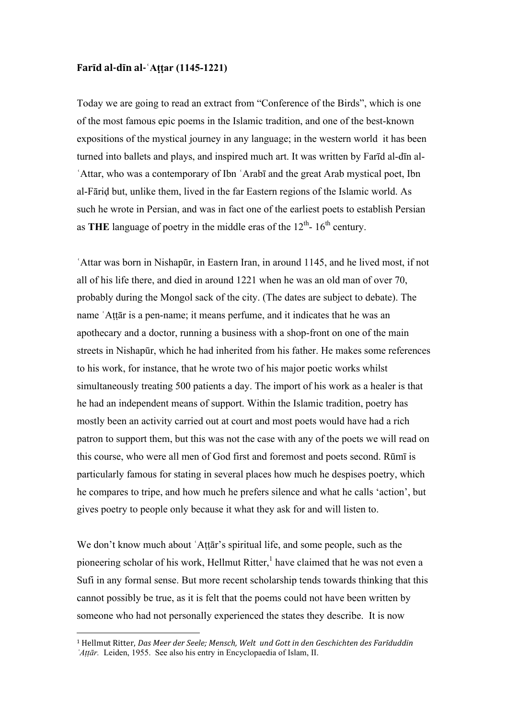## **Farīd al-dīn al-**  $\hat{A}$ **ttar (1145-1221)**

Today we are going to read an extract from "Conference of the Birds", which is one of the most famous epic poems in the Islamic tradition, and one of the best-known expositions of the mystical journey in any language; in the western world it has been turned into ballets and plays, and inspired much art. It was written by Farīd al-dīn al-ʿAttar, who was a contemporary of Ibn ʿArabī and the great Arab mystical poet, Ibn al-Fāriḍ but, unlike them, lived in the far Eastern regions of the Islamic world. As such he wrote in Persian, and was in fact one of the earliest poets to establish Persian as **THE** language of poetry in the middle eras of the  $12<sup>th</sup>$ - 16<sup>th</sup> century.

ʿAttar was born in Nishapūr, in Eastern Iran, in around 1145, and he lived most, if not all of his life there, and died in around 1221 when he was an old man of over 70, probably during the Mongol sack of the city. (The dates are subject to debate). The name ʿAṭṭār is a pen-name; it means perfume, and it indicates that he was an apothecary and a doctor, running a business with a shop-front on one of the main streets in Nishapūr, which he had inherited from his father. He makes some references to his work, for instance, that he wrote two of his major poetic works whilst simultaneously treating 500 patients a day. The import of his work as a healer is that he had an independent means of support. Within the Islamic tradition, poetry has mostly been an activity carried out at court and most poets would have had a rich patron to support them, but this was not the case with any of the poets we will read on this course, who were all men of God first and foremost and poets second. Rūmī is particularly famous for stating in several places how much he despises poetry, which he compares to tripe, and how much he prefers silence and what he calls 'action', but gives poetry to people only because it what they ask for and will listen to.

We don't know much about 'Attār's spiritual life, and some people, such as the pioneering scholar of his work, Hellmut Ritter,<sup>1</sup> have claimed that he was not even a Sufi in any formal sense. But more recent scholarship tends towards thinking that this cannot possibly be true, as it is felt that the poems could not have been written by someone who had not personally experienced the states they describe. It is now

<sup>&</sup>lt;sup>1</sup> Hellmut Ritter, *Das Meer der Seele; Mensch, Welt und Gott in den Geschichten des Farīduddin ʿAṭṭār.* Leiden, 1955. See also his entry in Encyclopaedia of Islam, II.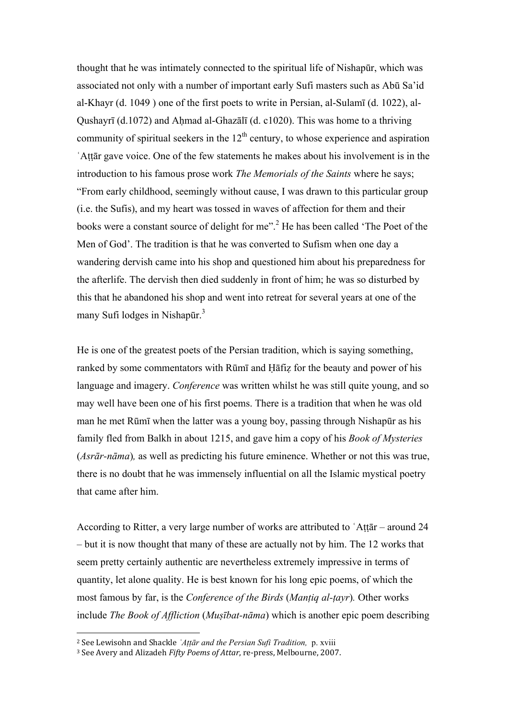thought that he was intimately connected to the spiritual life of Nishapūr, which was associated not only with a number of important early Sufi masters such as Abū Sa'id al-Khayr (d. 1049 ) one of the first poets to write in Persian, al-Sulamī (d. 1022), al-Qushayrī (d.1072) and Aḥmad al-Ghazālī (d. c1020). This was home to a thriving community of spiritual seekers in the  $12<sup>th</sup>$  century, to whose experience and aspiration ʿAṭṭār gave voice. One of the few statements he makes about his involvement is in the introduction to his famous prose work *The Memorials of the Saints* where he says; "From early childhood, seemingly without cause, I was drawn to this particular group (i.e. the Sufis), and my heart was tossed in waves of affection for them and their books were a constant source of delight for me".<sup>2</sup> He has been called 'The Poet of the Men of God'. The tradition is that he was converted to Sufism when one day a wandering dervish came into his shop and questioned him about his preparedness for the afterlife. The dervish then died suddenly in front of him; he was so disturbed by this that he abandoned his shop and went into retreat for several years at one of the many Sufi lodges in Nishapūr.<sup>3</sup>

He is one of the greatest poets of the Persian tradition, which is saying something, ranked by some commentators with Rūmī and Ḥāfiẓ for the beauty and power of his language and imagery. *Conference* was written whilst he was still quite young, and so may well have been one of his first poems. There is a tradition that when he was old man he met Rūmī when the latter was a young boy, passing through Nishapūr as his family fled from Balkh in about 1215, and gave him a copy of his *Book of Mysteries*  (*Asrār-nāma*)*,* as well as predicting his future eminence. Whether or not this was true, there is no doubt that he was immensely influential on all the Islamic mystical poetry that came after him.

According to Ritter, a very large number of works are attributed to ʿAṭṭār – around 24 – but it is now thought that many of these are actually not by him. The 12 works that seem pretty certainly authentic are nevertheless extremely impressive in terms of quantity, let alone quality. He is best known for his long epic poems, of which the most famous by far, is the *Conference of the Birds* (*Manṭiq al-ṭayr*)*.* Other works include *The Book of Affliction* (*Muṣībat-nāma*) which is another epic poem describing

<sup>2!</sup>See!Lewisohn!and!Shackle!*ʿAṭṭār and the Persian Sufi Tradition,* p. xviii

<sup>&</sup>lt;sup>3</sup> See Avery and Alizadeh *Fifty Poems of Attar*, re-press, Melbourne, 2007.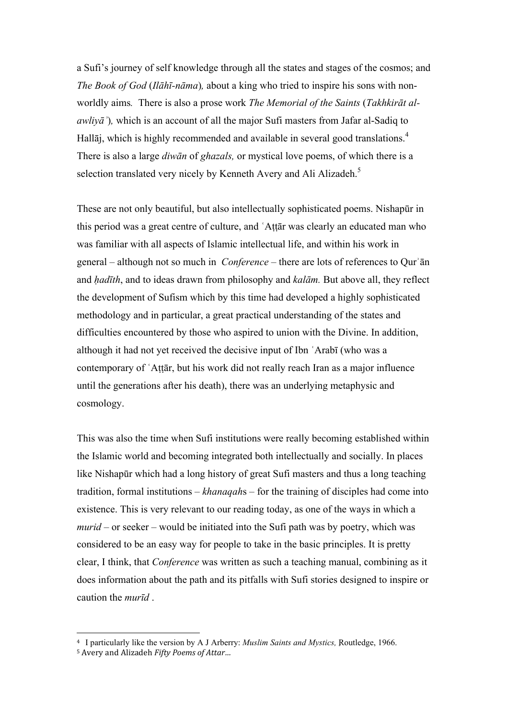a Sufi's journey of self knowledge through all the states and stages of the cosmos; and *The Book of God* (*Ilāhī-nāma*)*,* about a king who tried to inspire his sons with nonworldly aims*.* There is also a prose work *The Memorial of the Saints* (*Takhkirāt alawliyāʾ*)*,* which is an account of all the major Sufi masters from Jafar al-Sadiq to Hallāj, which is highly recommended and available in several good translations.<sup>4</sup> There is also a large *diwān* of *ghazals,* or mystical love poems, of which there is a selection translated very nicely by Kenneth Avery and Ali Alizadeh.<sup>5</sup>

These are not only beautiful, but also intellectually sophisticated poems. Nishapūr in this period was a great centre of culture, and ʿAṭṭār was clearly an educated man who was familiar with all aspects of Islamic intellectual life, and within his work in general – although not so much in *Conference –* there are lots of references to Qurʾān and *ḥadīth*, and to ideas drawn from philosophy and *kalām.* But above all, they reflect the development of Sufism which by this time had developed a highly sophisticated methodology and in particular, a great practical understanding of the states and difficulties encountered by those who aspired to union with the Divine. In addition, although it had not yet received the decisive input of Ibn ʿArabī (who was a contemporary of ʿAṭṭār, but his work did not really reach Iran as a major influence until the generations after his death), there was an underlying metaphysic and cosmology.

This was also the time when Sufi institutions were really becoming established within the Islamic world and becoming integrated both intellectually and socially. In places like Nishapūr which had a long history of great Sufi masters and thus a long teaching tradition, formal institutions – *khanaqah*s – for the training of disciples had come into existence. This is very relevant to our reading today, as one of the ways in which a *murid* – or seeker – would be initiated into the Sufi path was by poetry, which was considered to be an easy way for people to take in the basic principles. It is pretty clear, I think, that *Conference* was written as such a teaching manual, combining as it does information about the path and its pitfalls with Sufi stories designed to inspire or caution the *murīd* .

<sup>&</sup>lt;sup>4</sup> I particularly like the version by A J Arberry: *Muslim Saints and Mystics*, Routledge, 1966.

<sup>5</sup> Avery and Alizadeh *Fifty Poems of Attar...*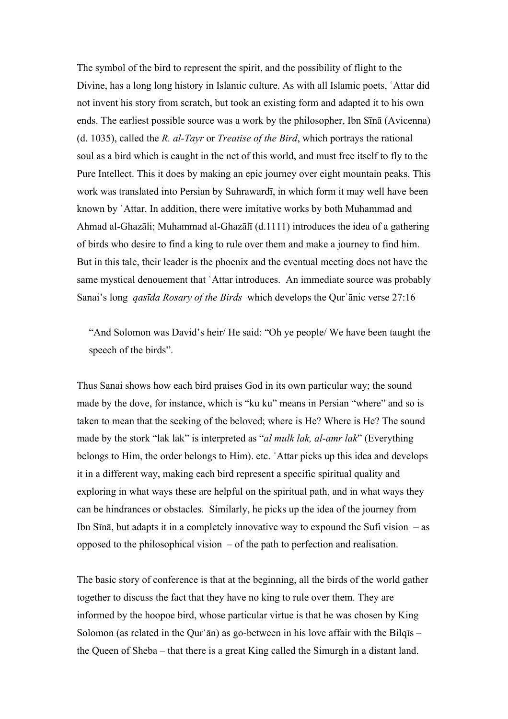The symbol of the bird to represent the spirit, and the possibility of flight to the Divine, has a long long history in Islamic culture. As with all Islamic poets, ʿAttar did not invent his story from scratch, but took an existing form and adapted it to his own ends. The earliest possible source was a work by the philosopher, Ibn Sīnā (Avicenna) (d. 1035), called the *R. al-Tayr* or *Treatise of the Bird*, which portrays the rational soul as a bird which is caught in the net of this world, and must free itself to fly to the Pure Intellect. This it does by making an epic journey over eight mountain peaks. This work was translated into Persian by Suhrawardī, in which form it may well have been known by ʿAttar. In addition, there were imitative works by both Muhammad and Ahmad al-Ghazāli; Muhammad al-Ghazālī (d.1111) introduces the idea of a gathering of birds who desire to find a king to rule over them and make a journey to find him. But in this tale, their leader is the phoenix and the eventual meeting does not have the same mystical denouement that 'Attar introduces. An immediate source was probably Sanai's long *qasīda Rosary of the Birds* which develops the Qurʿānic verse 27:16

"And Solomon was David's heir/ He said: "Oh ye people/ We have been taught the speech of the birds".

Thus Sanai shows how each bird praises God in its own particular way; the sound made by the dove, for instance, which is "ku ku" means in Persian "where" and so is taken to mean that the seeking of the beloved; where is He? Where is He? The sound made by the stork "lak lak" is interpreted as "*al mulk lak, al-amr lak*" (Everything belongs to Him, the order belongs to Him). etc. ʿAttar picks up this idea and develops it in a different way, making each bird represent a specific spiritual quality and exploring in what ways these are helpful on the spiritual path, and in what ways they can be hindrances or obstacles. Similarly, he picks up the idea of the journey from Ibn Sīnā, but adapts it in a completely innovative way to expound the Sufi vision  $-$  as opposed to the philosophical vision – of the path to perfection and realisation.

The basic story of conference is that at the beginning, all the birds of the world gather together to discuss the fact that they have no king to rule over them. They are informed by the hoopoe bird, whose particular virtue is that he was chosen by King Solomon (as related in the Qur' $\bar{a}$ n) as go-between in his love affair with the Bilqīs – the Queen of Sheba – that there is a great King called the Simurgh in a distant land.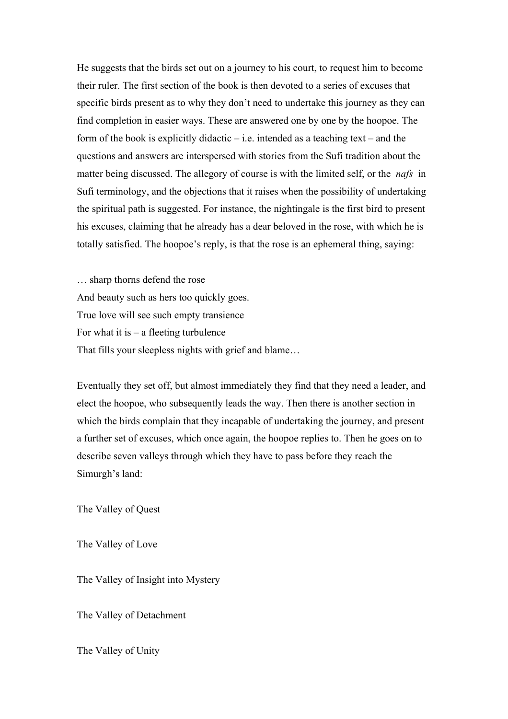He suggests that the birds set out on a journey to his court, to request him to become their ruler. The first section of the book is then devoted to a series of excuses that specific birds present as to why they don't need to undertake this journey as they can find completion in easier ways. These are answered one by one by the hoopoe. The form of the book is explicitly didactic  $-$  i.e. intended as a teaching text – and the questions and answers are interspersed with stories from the Sufi tradition about the matter being discussed. The allegory of course is with the limited self, or the *nafs* in Sufi terminology, and the objections that it raises when the possibility of undertaking the spiritual path is suggested. For instance, the nightingale is the first bird to present his excuses, claiming that he already has a dear beloved in the rose, with which he is totally satisfied. The hoopoe's reply, is that the rose is an ephemeral thing, saying:

… sharp thorns defend the rose And beauty such as hers too quickly goes. True love will see such empty transience For what it is  $-$  a fleeting turbulence That fills your sleepless nights with grief and blame…

Eventually they set off, but almost immediately they find that they need a leader, and elect the hoopoe, who subsequently leads the way. Then there is another section in which the birds complain that they incapable of undertaking the journey, and present a further set of excuses, which once again, the hoopoe replies to. Then he goes on to describe seven valleys through which they have to pass before they reach the Simurgh's land:

The Valley of Quest

The Valley of Love

The Valley of Insight into Mystery

The Valley of Detachment

The Valley of Unity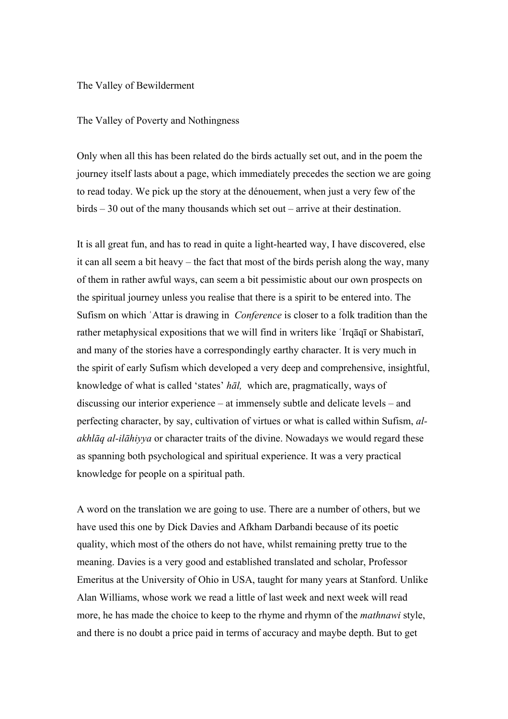## The Valley of Bewilderment

## The Valley of Poverty and Nothingness

Only when all this has been related do the birds actually set out, and in the poem the journey itself lasts about a page, which immediately precedes the section we are going to read today. We pick up the story at the dénouement, when just a very few of the birds – 30 out of the many thousands which set out – arrive at their destination.

It is all great fun, and has to read in quite a light-hearted way, I have discovered, else it can all seem a bit heavy – the fact that most of the birds perish along the way, many of them in rather awful ways, can seem a bit pessimistic about our own prospects on the spiritual journey unless you realise that there is a spirit to be entered into. The Sufism on which ʿAttar is drawing in *Conference* is closer to a folk tradition than the rather metaphysical expositions that we will find in writers like ʿIrqāqī or Shabistarī, and many of the stories have a correspondingly earthy character. It is very much in the spirit of early Sufism which developed a very deep and comprehensive, insightful, knowledge of what is called 'states' *hāl,* which are, pragmatically, ways of discussing our interior experience – at immensely subtle and delicate levels – and perfecting character, by say, cultivation of virtues or what is called within Sufism, *alakhlāq al-ilāhiyya* or character traits of the divine. Nowadays we would regard these as spanning both psychological and spiritual experience. It was a very practical knowledge for people on a spiritual path.

A word on the translation we are going to use. There are a number of others, but we have used this one by Dick Davies and Afkham Darbandi because of its poetic quality, which most of the others do not have, whilst remaining pretty true to the meaning. Davies is a very good and established translated and scholar, Professor Emeritus at the University of Ohio in USA, taught for many years at Stanford. Unlike Alan Williams, whose work we read a little of last week and next week will read more, he has made the choice to keep to the rhyme and rhymn of the *mathnawi* style, and there is no doubt a price paid in terms of accuracy and maybe depth. But to get